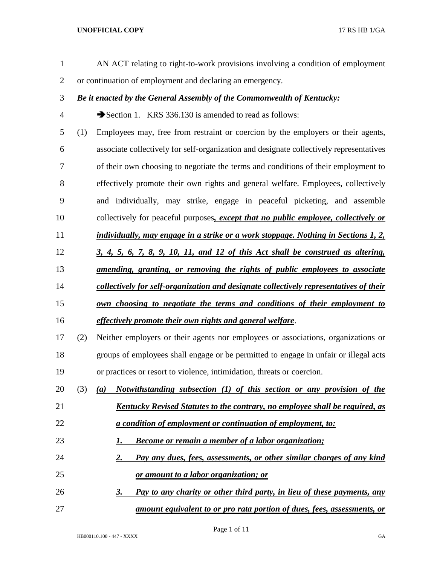| $\mathbf{1}$   |     | AN ACT relating to right-to-work provisions involving a condition of employment         |
|----------------|-----|-----------------------------------------------------------------------------------------|
| $\overline{2}$ |     | or continuation of employment and declaring an emergency.                               |
| 3              |     | Be it enacted by the General Assembly of the Commonwealth of Kentucky:                  |
| 4              |     | Section 1. KRS 336.130 is amended to read as follows:                                   |
| 5              | (1) | Employees may, free from restraint or coercion by the employers or their agents,        |
| 6              |     | associate collectively for self-organization and designate collectively representatives |
| 7              |     | of their own choosing to negotiate the terms and conditions of their employment to      |
| 8              |     | effectively promote their own rights and general welfare. Employees, collectively       |
| 9              |     | and individually, may strike, engage in peaceful picketing, and assemble                |
| 10             |     | collectively for peaceful purposes, except that no public employee, collectively or     |
| 11             |     | individually, may engage in a strike or a work stoppage. Nothing in Sections 1, 2,      |
| 12             |     | $3, 4, 5, 6, 7, 8, 9, 10, 11,$ and $12$ of this Act shall be construed as altering,     |
| 13             |     | <u>amending, granting, or removing the rights of public employees to associate</u>      |
| 14             |     | collectively for self-organization and designate collectively representatives of their  |
| 15             |     | own choosing to negotiate the terms and conditions of their employment to               |
| 16             |     | effectively promote their own rights and general welfare.                               |
| 17             | (2) | Neither employers or their agents nor employees or associations, organizations or       |
| 18             |     | groups of employees shall engage or be permitted to engage in unfair or illegal acts    |
| 19             |     | or practices or resort to violence, intimidation, threats or coercion.                  |
| 20             | (3) | Notwithstanding subsection (1) of this section or any provision of the<br>(a)           |
| 21             |     | Kentucky Revised Statutes to the contrary, no employee shall be required, as            |
| 22             |     | <i>a condition of employment or continuation of employment, to:</i>                     |
| 23             |     | <b>Become or remain a member of a labor organization;</b><br>I.                         |
| 24             |     | Pay any dues, fees, assessments, or other similar charges of any kind<br>2.             |
| 25             |     | or amount to a labor organization; or                                                   |
| 26             |     | Pay to any charity or other third party, in lieu of these payments, any<br>3.           |
| 27             |     | amount equivalent to or pro rata portion of dues, fees, assessments, or                 |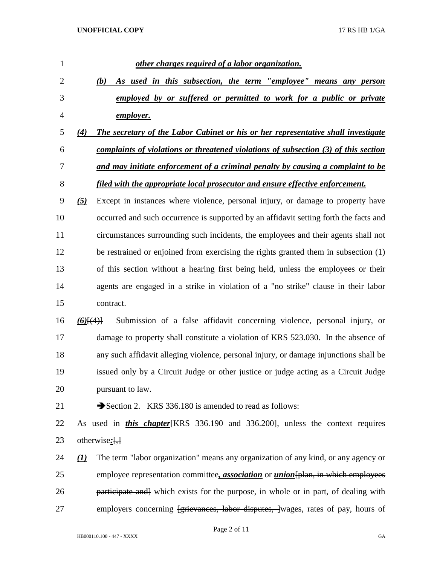| $\mathbf{1}$   | other charges required of a labor organization.                                                                      |
|----------------|----------------------------------------------------------------------------------------------------------------------|
| $\overline{2}$ | As used in this subsection, the term "employee" means any person<br>(b)                                              |
| 3              | employed by or suffered or permitted to work for a public or private                                                 |
| $\overline{4}$ | employer.                                                                                                            |
| 5              | The secretary of the Labor Cabinet or his or her representative shall investigate<br>(4)                             |
| 6              | complaints of violations or threatened violations of subsection (3) of this section                                  |
| 7              | and may initiate enforcement of a criminal penalty by causing a complaint to be                                      |
| 8              | filed with the appropriate local prosecutor and ensure effective enforcement.                                        |
| 9              | Except in instances where violence, personal injury, or damage to property have<br>$\left( 5\right)$                 |
| 10             | occurred and such occurrence is supported by an affidavit setting forth the facts and                                |
| 11             | circumstances surrounding such incidents, the employees and their agents shall not                                   |
| 12             | be restrained or enjoined from exercising the rights granted them in subsection (1)                                  |
| 13             | of this section without a hearing first being held, unless the employees or their                                    |
| 14             | agents are engaged in a strike in violation of a "no strike" clause in their labor                                   |
| 15             | contract.                                                                                                            |
| 16             | Submission of a false affidavit concerning violence, personal injury, or<br>$(6)$ [ $(4)$ ]                          |
| 17             | damage to property shall constitute a violation of KRS 523.030. In the absence of                                    |
| 18             | any such affidavit alleging violence, personal injury, or damage injunctions shall be                                |
| 19             | issued only by a Circuit Judge or other justice or judge acting as a Circuit Judge                                   |
| 20             | pursuant to law.                                                                                                     |
| 21             | Section 2. KRS 336.180 is amended to read as follows:                                                                |
| 22             | As used in <i>this chapter</i> [KRS 336.190 and 336.200], unless the context requires                                |
| 23             | otherwise: $\left\{\frac{1}{2}\right\}$                                                                              |
| 24             | The term "labor organization" means any organization of any kind, or any agency or<br>$\left( \underline{I} \right)$ |
| 25             | employee representation committee, <i>association</i> or <i>union</i> [plan, in which employees                      |
| 26             | participate and which exists for the purpose, in whole or in part, of dealing with                                   |
| 27             | employers concerning <del>[grievances, labor disputes, ]</del> wages, rates of pay, hours of                         |

Page 2 of 11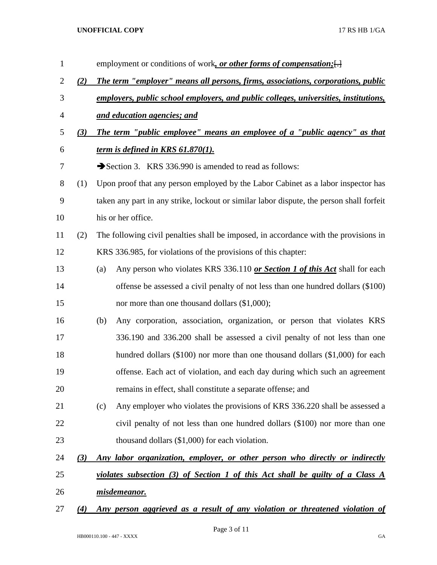| $\mathbf{1}$   |     | employment or conditions of work, or other forms of compensation; [.]                    |  |  |
|----------------|-----|------------------------------------------------------------------------------------------|--|--|
| $\overline{2}$ | (2) | The term "employer" means all persons, firms, associations, corporations, public         |  |  |
| 3              |     | employers, public school employers, and public colleges, universities, institutions,     |  |  |
| $\overline{4}$ |     | and education agencies; and                                                              |  |  |
| 5              | (3) | The term "public employee" means an employee of a "public agency" as that                |  |  |
| 6              |     | <u>term is defined in KRS 61.870(1).</u>                                                 |  |  |
| 7              |     | Section 3. KRS 336.990 is amended to read as follows:                                    |  |  |
| $8\,$          | (1) | Upon proof that any person employed by the Labor Cabinet as a labor inspector has        |  |  |
| 9              |     | taken any part in any strike, lockout or similar labor dispute, the person shall forfeit |  |  |
| 10             |     | his or her office.                                                                       |  |  |
| 11             | (2) | The following civil penalties shall be imposed, in accordance with the provisions in     |  |  |
| 12             |     | KRS 336.985, for violations of the provisions of this chapter:                           |  |  |
| 13             |     | Any person who violates KRS 336.110 or Section 1 of this Act shall for each<br>(a)       |  |  |
| 14             |     | offense be assessed a civil penalty of not less than one hundred dollars (\$100)         |  |  |
| 15             |     | nor more than one thousand dollars (\$1,000);                                            |  |  |
| 16             |     | Any corporation, association, organization, or person that violates KRS<br>(b)           |  |  |
| 17             |     | 336.190 and 336.200 shall be assessed a civil penalty of not less than one               |  |  |
| 18             |     | hundred dollars (\$100) nor more than one thousand dollars (\$1,000) for each            |  |  |
| 19             |     | offense. Each act of violation, and each day during which such an agreement              |  |  |
| 20             |     | remains in effect, shall constitute a separate offense; and                              |  |  |
| 21             |     | Any employer who violates the provisions of KRS 336.220 shall be assessed a<br>(c)       |  |  |
| 22             |     | civil penalty of not less than one hundred dollars (\$100) nor more than one             |  |  |
| 23             |     | thousand dollars $(\$1,000)$ for each violation.                                         |  |  |
| 24             | (3) | Any labor organization, employer, or other person who directly or indirectly             |  |  |
| 25             |     | <u>violates subsection (3) of Section 1 of this Act shall be guilty of a Class A</u>     |  |  |
| 26             |     | misdemeanor.                                                                             |  |  |
| 27             | (4) | Any person aggrieved as a result of any violation or threatened violation of             |  |  |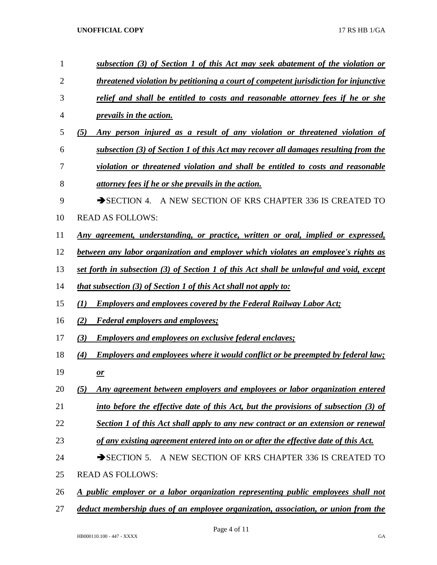| 1      | subsection (3) of Section 1 of this Act may seek abatement of the violation or           |
|--------|------------------------------------------------------------------------------------------|
| 2      | threatened violation by petitioning a court of competent jurisdiction for injunctive     |
| 3      | relief and shall be entitled to costs and reasonable attorney fees if he or she          |
| 4      | <i>prevails in the action.</i>                                                           |
| 5      | Any person injured as a result of any violation or threatened violation of<br>(5)        |
| 6      | subsection (3) of Section 1 of this Act may recover all damages resulting from the       |
| 7      | violation or threatened violation and shall be entitled to costs and reasonable          |
| 8      | attorney fees if he or she prevails in the action.                                       |
| 9      | A NEW SECTION OF KRS CHAPTER 336 IS CREATED TO<br>$\rightarrow$ SECTION 4.               |
| 10     | <b>READ AS FOLLOWS:</b>                                                                  |
| 11     | <u>Any agreement, understanding, or practice, written or oral, implied or expressed,</u> |
| 12     | between any labor organization and employer which violates an employee's rights as       |
| 13     | set forth in subsection (3) of Section 1 of this Act shall be unlawful and void, except  |
| 14     | <i>that subsection (3) of Section 1 of this Act shall not apply to:</i>                  |
| 15     | <b>Employers and employees covered by the Federal Railway Labor Act;</b><br>(I)          |
| 16     | <b>Federal employers and employees;</b><br>(2)                                           |
| 17     | <b>Employers and employees on exclusive federal enclayes;</b><br>(3)                     |
| 18     | Employers and employees where it would conflict or be preempted by federal law;<br>(4)   |
| 19     | $\mathbf{\underline{or}}$                                                                |
| 20     | Any agreement between employers and employees or labor organization entered<br>(5)       |
| 21     | into before the effective date of this Act, but the provisions of subsection (3) of      |
| 22     | Section 1 of this Act shall apply to any new contract or an extension or renewal         |
| 23     | of any existing agreement entered into on or after the effective date of this Act.       |
| 24     | $\rightarrow$ SECTION 5.<br>A NEW SECTION OF KRS CHAPTER 336 IS CREATED TO               |
| 25     | <b>READ AS FOLLOWS:</b>                                                                  |
| 26     | <u>A public employer or a labor organization representing public employees shall not</u> |
| $27\,$ | deduct membership dues of an employee organization, association, or union from the       |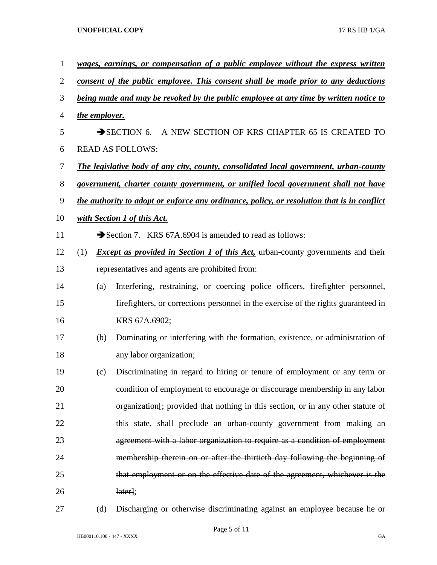| $\mathbf{1}$ |                                                                                           |                                                                                       | wages, earnings, or compensation of a public employee without the express written            |  |
|--------------|-------------------------------------------------------------------------------------------|---------------------------------------------------------------------------------------|----------------------------------------------------------------------------------------------|--|
| 2            | <u>consent of the public employee. This consent shall be made prior to any deductions</u> |                                                                                       |                                                                                              |  |
| 3            |                                                                                           | being made and may be revoked by the public employee at any time by written notice to |                                                                                              |  |
| 4            |                                                                                           | the employer.                                                                         |                                                                                              |  |
| 5            |                                                                                           |                                                                                       | SECTION 6. A NEW SECTION OF KRS CHAPTER 65 IS CREATED TO                                     |  |
| 6            | <b>READ AS FOLLOWS:</b>                                                                   |                                                                                       |                                                                                              |  |
| 7            |                                                                                           |                                                                                       | <b>The legislative body of any city, county, consolidated local government, urban-county</b> |  |
| 8            |                                                                                           |                                                                                       | government, charter county government, or unified local government shall not have            |  |
| 9            |                                                                                           |                                                                                       | the authority to adopt or enforce any ordinance, policy, or resolution that is in conflict   |  |
| 10           |                                                                                           |                                                                                       | <u>with Section 1 of this Act.</u>                                                           |  |
| 11           |                                                                                           |                                                                                       | Section 7. KRS 67A.6904 is amended to read as follows:                                       |  |
| 12           | (1)                                                                                       |                                                                                       | <i>Except as provided in Section 1 of this Act</i> , urban-county governments and their      |  |
| 13           |                                                                                           |                                                                                       | representatives and agents are prohibited from:                                              |  |
| 14           |                                                                                           | (a)                                                                                   | Interfering, restraining, or coercing police officers, firefighter personnel,                |  |
| 15           |                                                                                           |                                                                                       | fire fighters, or corrections personnel in the exercise of the rights guaranteed in          |  |
| 16           |                                                                                           |                                                                                       | KRS 67A.6902;                                                                                |  |
| 17           |                                                                                           | (b)                                                                                   | Dominating or interfering with the formation, existence, or administration of                |  |
| 18           |                                                                                           |                                                                                       | any labor organization;                                                                      |  |
| 19           |                                                                                           | (c)                                                                                   | Discriminating in regard to hiring or tenure of employment or any term or                    |  |
| 20           |                                                                                           |                                                                                       | condition of employment to encourage or discourage membership in any labor                   |  |
| 21           |                                                                                           |                                                                                       | organization <del>[; provided that nothing in this section, or in any other statute of</del> |  |
| 22           |                                                                                           |                                                                                       | this state, shall preclude an urban-county government from making an                         |  |
| 23           |                                                                                           |                                                                                       | agreement with a labor organization to require as a condition of employment                  |  |
| 24           |                                                                                           |                                                                                       | membership therein on or after the thirtieth day following the beginning of                  |  |
| 25           |                                                                                           |                                                                                       | that employment or on the effective date of the agreement, whichever is the                  |  |
| 26           |                                                                                           |                                                                                       | [later];                                                                                     |  |
|              |                                                                                           |                                                                                       |                                                                                              |  |

(d) Discharging or otherwise discriminating against an employee because he or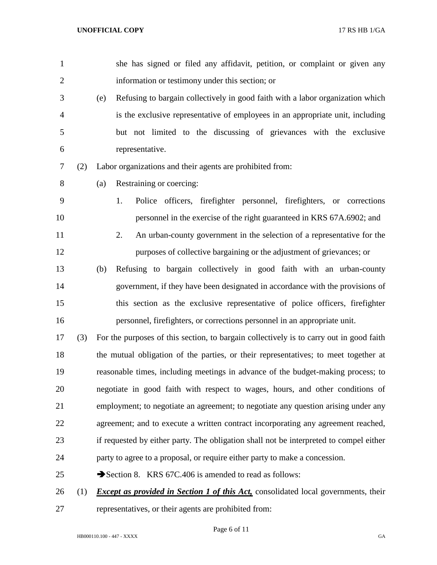| $\mathbf{1}$   |     | she has signed or filed any affidavit, petition, or complaint or given any                |
|----------------|-----|-------------------------------------------------------------------------------------------|
| $\overline{2}$ |     | information or testimony under this section; or                                           |
| 3              |     | Refusing to bargain collectively in good faith with a labor organization which<br>(e)     |
| $\overline{4}$ |     | is the exclusive representative of employees in an appropriate unit, including            |
| 5              |     | but not limited to the discussing of grievances with the exclusive                        |
| 6              |     | representative.                                                                           |
| 7              | (2) | Labor organizations and their agents are prohibited from:                                 |
| 8              |     | Restraining or coercing:<br>(a)                                                           |
| 9              |     | Police officers, firefighter personnel, firefighters, or corrections<br>1.                |
| 10             |     | personnel in the exercise of the right guaranteed in KRS 67A.6902; and                    |
| 11             |     | An urban-county government in the selection of a representative for the<br>2.             |
| 12             |     | purposes of collective bargaining or the adjustment of grievances; or                     |
| 13             |     | Refusing to bargain collectively in good faith with an urban-county<br>(b)                |
| 14             |     | government, if they have been designated in accordance with the provisions of             |
| 15             |     | this section as the exclusive representative of police officers, firefighter              |
| 16             |     | personnel, firefighters, or corrections personnel in an appropriate unit.                 |
| 17             | (3) | For the purposes of this section, to bargain collectively is to carry out in good faith   |
| 18             |     | the mutual obligation of the parties, or their representatives; to meet together at       |
| 19             |     | reasonable times, including meetings in advance of the budget-making process; to          |
| 20             |     | negotiate in good faith with respect to wages, hours, and other conditions of             |
| 21             |     | employment; to negotiate an agreement; to negotiate any question arising under any        |
| 22             |     | agreement; and to execute a written contract incorporating any agreement reached,         |
| 23             |     | if requested by either party. The obligation shall not be interpreted to compel either    |
| 24             |     | party to agree to a proposal, or require either party to make a concession.               |
| 25             |     | Section 8. KRS 67C.406 is amended to read as follows:                                     |
| 26             | (1) | <b>Except as provided in Section 1 of this Act, consolidated local governments, their</b> |
|                |     |                                                                                           |

representatives, or their agents are prohibited from:

Page 6 of 11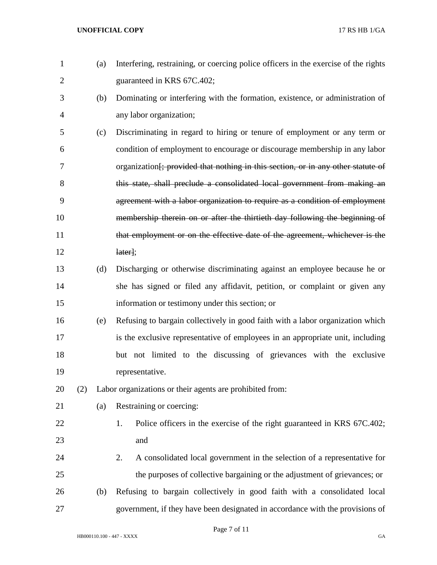| $\mathbf{1}$ |     | (a) | Interfering, restraining, or coercing police officers in the exercise of the rights          |
|--------------|-----|-----|----------------------------------------------------------------------------------------------|
| 2            |     |     | guaranteed in KRS 67C.402;                                                                   |
| 3            |     | (b) | Dominating or interfering with the formation, existence, or administration of                |
| 4            |     |     | any labor organization;                                                                      |
| 5            |     | (c) | Discriminating in regard to hiring or tenure of employment or any term or                    |
| 6            |     |     | condition of employment to encourage or discourage membership in any labor                   |
| 7            |     |     | organization <del>[; provided that nothing in this section, or in any other statute of</del> |
| 8            |     |     | this state, shall preclude a consolidated local government from making an                    |
| 9            |     |     | agreement with a labor organization to require as a condition of employment                  |
| 10           |     |     | membership therein on or after the thirtieth day following the beginning of                  |
| 11           |     |     | that employment or on the effective date of the agreement, whichever is the                  |
| 12           |     |     | later;                                                                                       |
| 13           |     | (d) | Discharging or otherwise discriminating against an employee because he or                    |
| 14           |     |     | she has signed or filed any affidavit, petition, or complaint or given any                   |
| 15           |     |     | information or testimony under this section; or                                              |
| 16           |     | (e) | Refusing to bargain collectively in good faith with a labor organization which               |
| 17           |     |     | is the exclusive representative of employees in an appropriate unit, including               |
| 18           |     |     | but not limited to the discussing of grievances with the exclusive                           |
| 19           |     |     | representative.                                                                              |
| 20           | (2) |     | Labor organizations or their agents are prohibited from:                                     |
| 21           |     | (a) | Restraining or coercing:                                                                     |
| 22           |     |     | Police officers in the exercise of the right guaranteed in KRS 67C.402;<br>1.                |
| 23           |     |     | and                                                                                          |
| 24           |     |     | A consolidated local government in the selection of a representative for<br>2.               |
| 25           |     |     | the purposes of collective bargaining or the adjustment of grievances; or                    |
| 26           |     | (b) | Refusing to bargain collectively in good faith with a consolidated local                     |
| 27           |     |     | government, if they have been designated in accordance with the provisions of                |

Page 7 of 11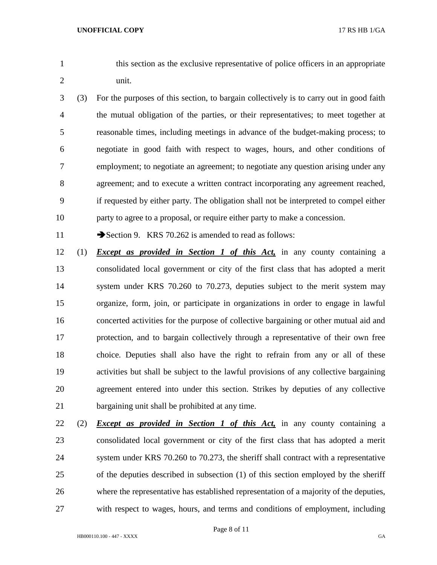this section as the exclusive representative of police officers in an appropriate unit.

 (3) For the purposes of this section, to bargain collectively is to carry out in good faith the mutual obligation of the parties, or their representatives; to meet together at reasonable times, including meetings in advance of the budget-making process; to negotiate in good faith with respect to wages, hours, and other conditions of employment; to negotiate an agreement; to negotiate any question arising under any agreement; and to execute a written contract incorporating any agreement reached, if requested by either party. The obligation shall not be interpreted to compel either party to agree to a proposal, or require either party to make a concession.

11 Section 9. KRS 70.262 is amended to read as follows:

- (1) *Except as provided in Section 1 of this Act,* in any county containing a consolidated local government or city of the first class that has adopted a merit system under KRS 70.260 to 70.273, deputies subject to the merit system may organize, form, join, or participate in organizations in order to engage in lawful concerted activities for the purpose of collective bargaining or other mutual aid and protection, and to bargain collectively through a representative of their own free choice. Deputies shall also have the right to refrain from any or all of these activities but shall be subject to the lawful provisions of any collective bargaining agreement entered into under this section. Strikes by deputies of any collective bargaining unit shall be prohibited at any time.
- (2) *Except as provided in Section 1 of this Act,* in any county containing a consolidated local government or city of the first class that has adopted a merit system under KRS 70.260 to 70.273, the sheriff shall contract with a representative of the deputies described in subsection (1) of this section employed by the sheriff where the representative has established representation of a majority of the deputies, with respect to wages, hours, and terms and conditions of employment, including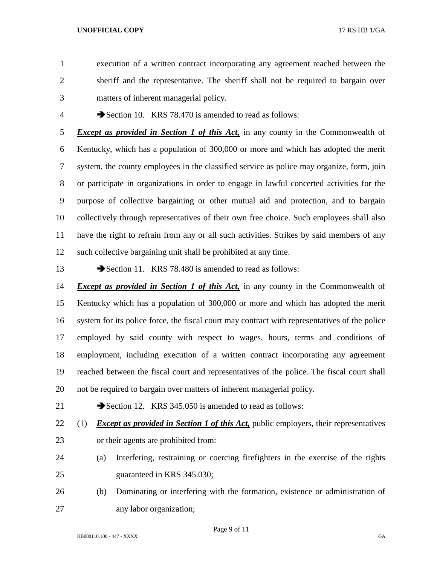- execution of a written contract incorporating any agreement reached between the sheriff and the representative. The sheriff shall not be required to bargain over matters of inherent managerial policy.
- 

4 Section 10. KRS 78.470 is amended to read as follows:

 *Except as provided in Section 1 of this Act,* in any county in the Commonwealth of Kentucky, which has a population of 300,000 or more and which has adopted the merit system, the county employees in the classified service as police may organize, form, join or participate in organizations in order to engage in lawful concerted activities for the purpose of collective bargaining or other mutual aid and protection, and to bargain collectively through representatives of their own free choice. Such employees shall also have the right to refrain from any or all such activities. Strikes by said members of any such collective bargaining unit shall be prohibited at any time.

13 Section 11. KRS 78.480 is amended to read as follows:

 *Except as provided in Section 1 of this Act,* in any county in the Commonwealth of Kentucky which has a population of 300,000 or more and which has adopted the merit system for its police force, the fiscal court may contract with representatives of the police employed by said county with respect to wages, hours, terms and conditions of employment, including execution of a written contract incorporating any agreement reached between the fiscal court and representatives of the police. The fiscal court shall not be required to bargain over matters of inherent managerial policy.

21 Section 12. KRS 345.050 is amended to read as follows:

(1) *Except as provided in Section 1 of this Act,* public employers, their representatives

- or their agents are prohibited from:
- (a) Interfering, restraining or coercing firefighters in the exercise of the rights guaranteed in KRS 345.030;
- (b) Dominating or interfering with the formation, existence or administration of any labor organization;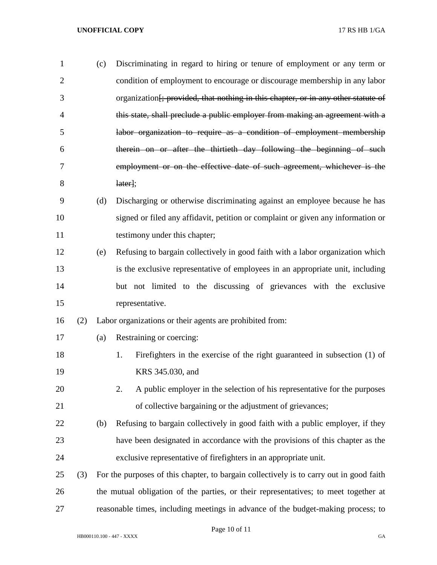| $\mathbf{1}$   |     | (c) | Discriminating in regard to hiring or tenure of employment or any term or                     |
|----------------|-----|-----|-----------------------------------------------------------------------------------------------|
| $\overline{2}$ |     |     | condition of employment to encourage or discourage membership in any labor                    |
| 3              |     |     | organization <del>[; provided, that nothing in this chapter, or in any other statute of</del> |
| 4              |     |     | this state, shall preclude a public employer from making an agreement with a                  |
| 5              |     |     | labor organization to require as a condition of employment membership                         |
| 6              |     |     | therein on or after the thirtieth day following the beginning of such                         |
| 7              |     |     | employment or on the effective date of such agreement, whichever is the                       |
| 8              |     |     | later;                                                                                        |
| 9              |     | (d) | Discharging or otherwise discriminating against an employee because he has                    |
| 10             |     |     | signed or filed any affidavit, petition or complaint or given any information or              |
| 11             |     |     | testimony under this chapter;                                                                 |
| 12             |     | (e) | Refusing to bargain collectively in good faith with a labor organization which                |
| 13             |     |     | is the exclusive representative of employees in an appropriate unit, including                |
| 14             |     |     | but not limited to the discussing of grievances with the exclusive                            |
| 15             |     |     | representative.                                                                               |
| 16             | (2) |     | Labor organizations or their agents are prohibited from:                                      |
| 17             |     | (a) | Restraining or coercing:                                                                      |
| 18             |     |     | 1.<br>Firefighters in the exercise of the right guaranteed in subsection (1) of               |
| 19             |     |     | KRS 345.030, and                                                                              |
| 20             |     |     | 2.<br>A public employer in the selection of his representative for the purposes               |
| 21             |     |     | of collective bargaining or the adjustment of grievances;                                     |
| 22             |     | (b) | Refusing to bargain collectively in good faith with a public employer, if they                |
| 23             |     |     | have been designated in accordance with the provisions of this chapter as the                 |
| 24             |     |     | exclusive representative of firefighters in an appropriate unit.                              |
| 25             | (3) |     | For the purposes of this chapter, to bargain collectively is to carry out in good faith       |
| 26             |     |     | the mutual obligation of the parties, or their representatives; to meet together at           |
| 27             |     |     | reasonable times, including meetings in advance of the budget-making process; to              |

Page 10 of 11